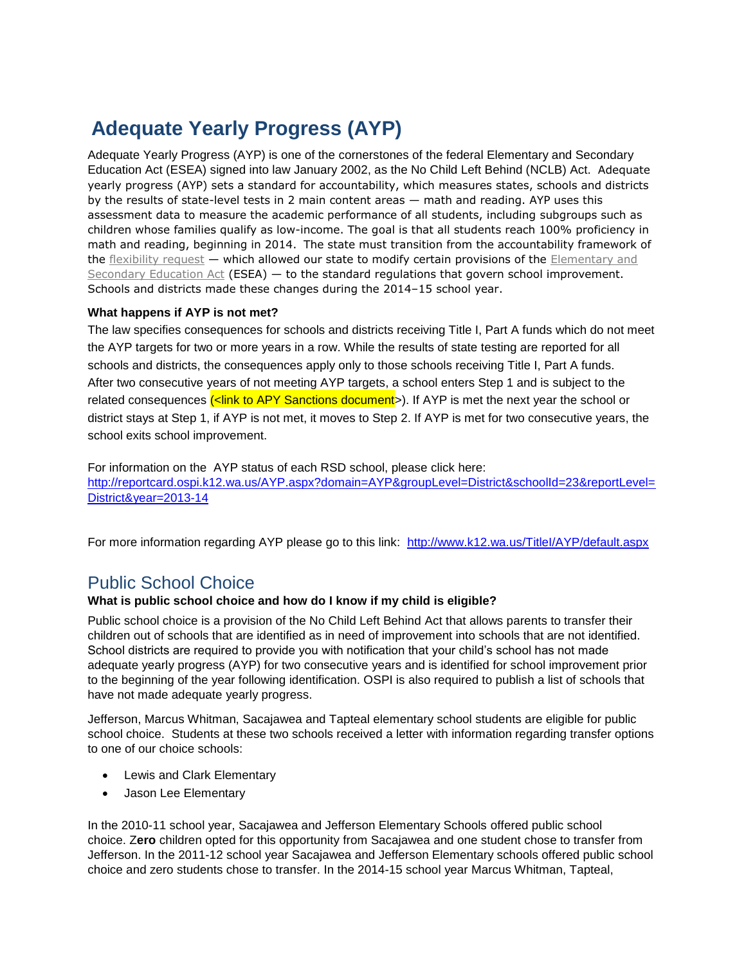## **Adequate Yearly Progress (AYP)**

Adequate Yearly Progress (AYP) is one of the cornerstones of the federal Elementary and Secondary Education Act (ESEA) signed into law January 2002, as the No Child Left Behind (NCLB) Act. Adequate yearly progress (AYP) sets a standard for accountability, which measures states, schools and districts by the results of state-level tests in 2 main content areas — math and reading. AYP uses this assessment data to measure the academic performance of all students, including subgroups such as children whose families qualify as low-income. The goal is that all students reach 100% proficiency in math and reading, beginning in 2014. The state must transition from the accountability framework of the [flexibility request](http://www.k12.wa.us/ESEA/ReturningtoAYP.aspx) — which allowed our state to modify certain provisions of the Elementary and [Secondary Education Act](http://www2.ed.gov/policy/elsec/leg/esea02/index.html) (ESEA) — to the standard regulations that govern school improvement. Schools and districts made these changes during the 2014–15 school year.

## **What happens if AYP is not met?**

The law specifies consequences for schools and districts receiving Title I, Part A funds which do not meet the AYP targets for two or more years in a row. While the results of state testing are reported for all schools and districts, the consequences apply only to those schools receiving Title I, Part A funds. After two consecutive years of not meeting AYP targets, a school enters Step 1 and is subject to the related consequences (<link to APY Sanctions document>). If AYP is met the next year the school or district stays at Step 1, if AYP is not met, it moves to Step 2. If AYP is met for two consecutive years, the school exits school improvement.

For information on the AYP status of each RSD school, please click here: [http://reportcard.ospi.k12.wa.us/AYP.aspx?domain=AYP&groupLevel=District&schoolId=23&reportLevel=](http://reportcard.ospi.k12.wa.us/AYP.aspx?domain=AYP&groupLevel=District&schoolId=23&reportLevel=District&year=2013-14) [District&year=2013-14](http://reportcard.ospi.k12.wa.us/AYP.aspx?domain=AYP&groupLevel=District&schoolId=23&reportLevel=District&year=2013-14)

For more information regarding AYP please go to this link: <http://www.k12.wa.us/TitleI/AYP/default.aspx>

## Public School Choice

## **What is public school choice and how do I know if my child is eligible?**

Public school choice is a provision of the No Child Left Behind Act that allows parents to transfer their children out of schools that are identified as in need of improvement into schools that are not identified. School districts are required to provide you with notification that your child's school has not made adequate yearly progress (AYP) for two consecutive years and is identified for school improvement prior to the beginning of the year following identification. OSPI is also required to publish a list of schools that have not made adequate yearly progress.

Jefferson, Marcus Whitman, Sacajawea and Tapteal elementary school students are eligible for public school choice. Students at these two schools received a letter with information regarding transfer options to one of our choice schools:

- Lewis and Clark Elementary
- Jason Lee Elementary

In the 2010-11 school year, Sacajawea and Jefferson Elementary Schools offered public school choice. Z**ero** children opted for this opportunity from Sacajawea and one student chose to transfer from Jefferson. In the 2011-12 school year Sacajawea and Jefferson Elementary schools offered public school choice and zero students chose to transfer. In the 2014-15 school year Marcus Whitman, Tapteal,